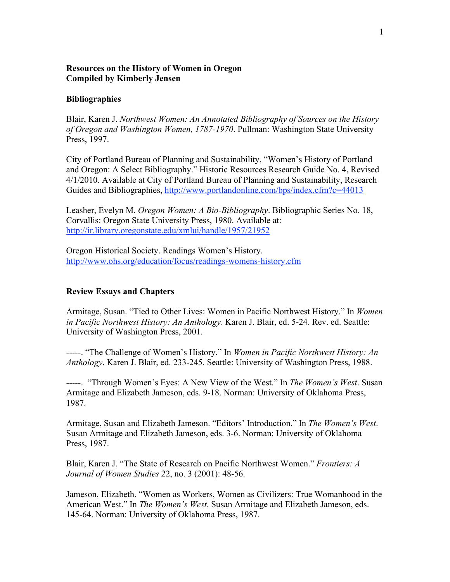# **Resources on the History of Women in Oregon Compiled by Kimberly Jensen**

### **Bibliographies**

Blair, Karen J. *Northwest Women: An Annotated Bibliography of Sources on the History of Oregon and Washington Women, 1787-1970*. Pullman: Washington State University Press, 1997.

City of Portland Bureau of Planning and Sustainability, "Women's History of Portland and Oregon: A Select Bibliography." Historic Resources Research Guide No. 4, Revised 4/1/2010. Available at City of Portland Bureau of Planning and Sustainability, Research Guides and Bibliographies, http://www.portlandonline.com/bps/index.cfm?c=44013

Leasher, Evelyn M. *Oregon Women: A Bio-Bibliography*. Bibliographic Series No. 18, Corvallis: Oregon State University Press, 1980. Available at: http://ir.library.oregonstate.edu/xmlui/handle/1957/21952

Oregon Historical Society. Readings Women's History. http://www.ohs.org/education/focus/readings-womens-history.cfm

## **Review Essays and Chapters**

Armitage, Susan. "Tied to Other Lives: Women in Pacific Northwest History." In *Women in Pacific Northwest History: An Anthology*. Karen J. Blair, ed. 5-24. Rev. ed. Seattle: University of Washington Press, 2001.

-----. "The Challenge of Women's History." In *Women in Pacific Northwest History: An Anthology*. Karen J. Blair, ed. 233-245. Seattle: University of Washington Press, 1988.

-----. "Through Women's Eyes: A New View of the West." In *The Women's West*. Susan Armitage and Elizabeth Jameson, eds. 9-18. Norman: University of Oklahoma Press, 1987.

Armitage, Susan and Elizabeth Jameson. "Editors' Introduction." In *The Women's West*. Susan Armitage and Elizabeth Jameson, eds. 3-6. Norman: University of Oklahoma Press, 1987.

Blair, Karen J. "The State of Research on Pacific Northwest Women." *Frontiers: A Journal of Women Studies* 22, no. 3 (2001): 48-56.

Jameson, Elizabeth. "Women as Workers, Women as Civilizers: True Womanhood in the American West." In *The Women's West*. Susan Armitage and Elizabeth Jameson, eds. 145-64. Norman: University of Oklahoma Press, 1987.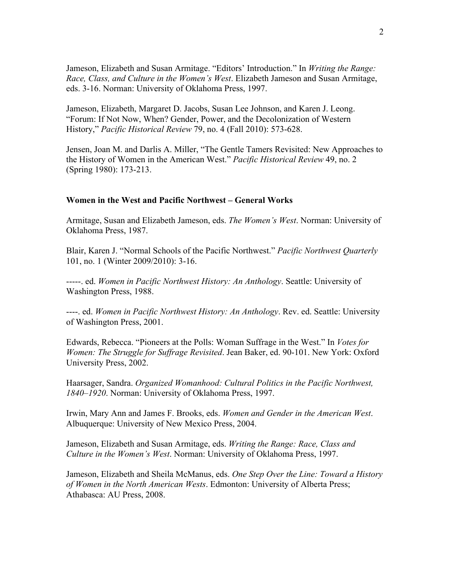Jameson, Elizabeth and Susan Armitage. "Editors' Introduction." In *Writing the Range: Race, Class, and Culture in the Women's West*. Elizabeth Jameson and Susan Armitage, eds. 3-16. Norman: University of Oklahoma Press, 1997.

Jameson, Elizabeth, Margaret D. Jacobs, Susan Lee Johnson, and Karen J. Leong. "Forum: If Not Now, When? Gender, Power, and the Decolonization of Western History," *Pacific Historical Review* 79, no. 4 (Fall 2010): 573-628.

Jensen, Joan M. and Darlis A. Miller, "The Gentle Tamers Revisited: New Approaches to the History of Women in the American West." *Pacific Historical Review* 49, no. 2 (Spring 1980): 173-213.

### **Women in the West and Pacific Northwest – General Works**

Armitage, Susan and Elizabeth Jameson, eds. *The Women's West*. Norman: University of Oklahoma Press, 1987.

Blair, Karen J. "Normal Schools of the Pacific Northwest." *Pacific Northwest Quarterly* 101, no. 1 (Winter 2009/2010): 3-16.

-----. ed. *Women in Pacific Northwest History: An Anthology*. Seattle: University of Washington Press, 1988.

----. ed. *Women in Pacific Northwest History: An Anthology*. Rev. ed. Seattle: University of Washington Press, 2001.

Edwards, Rebecca. "Pioneers at the Polls: Woman Suffrage in the West." In *Votes for Women: The Struggle for Suffrage Revisited*. Jean Baker, ed. 90-101. New York: Oxford University Press, 2002.

Haarsager, Sandra. *Organized Womanhood: Cultural Politics in the Pacific Northwest, 1840–1920*. Norman: University of Oklahoma Press, 1997.

Irwin, Mary Ann and James F. Brooks, eds. *Women and Gender in the American West*. Albuquerque: University of New Mexico Press, 2004.

Jameson, Elizabeth and Susan Armitage, eds. *Writing the Range: Race, Class and Culture in the Women's West*. Norman: University of Oklahoma Press, 1997.

Jameson, Elizabeth and Sheila McManus, eds. *One Step Over the Line: Toward a History of Women in the North American Wests*. Edmonton: University of Alberta Press; Athabasca: AU Press, 2008.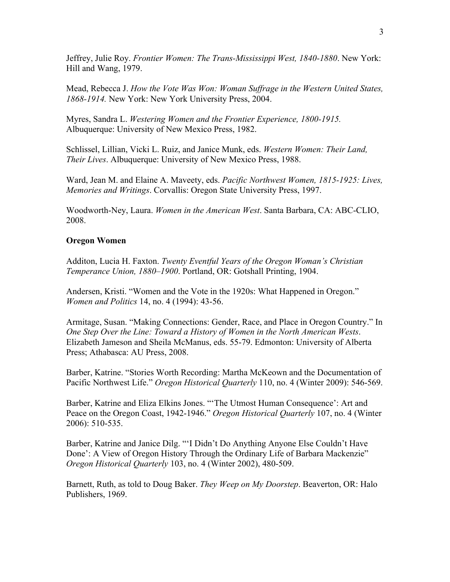Jeffrey, Julie Roy. *Frontier Women: The Trans-Mississippi West, 1840-1880*. New York: Hill and Wang, 1979.

Mead, Rebecca J. *How the Vote Was Won: Woman Suffrage in the Western United States, 1868-1914.* New York: New York University Press, 2004.

Myres, Sandra L. *Westering Women and the Frontier Experience, 1800-1915.* Albuquerque: University of New Mexico Press, 1982.

Schlissel, Lillian, Vicki L. Ruiz, and Janice Munk, eds. *Western Women: Their Land, Their Lives*. Albuquerque: University of New Mexico Press, 1988.

Ward, Jean M. and Elaine A. Maveety, eds. *Pacific Northwest Women, 1815-1925: Lives, Memories and Writings*. Corvallis: Oregon State University Press, 1997.

Woodworth-Ney, Laura. *Women in the American West*. Santa Barbara, CA: ABC-CLIO, 2008.

#### **Oregon Women**

Additon, Lucia H. Faxton. *Twenty Eventful Years of the Oregon Woman's Christian Temperance Union, 1880–1900*. Portland, OR: Gotshall Printing, 1904.

Andersen, Kristi. "Women and the Vote in the 1920s: What Happened in Oregon." *Women and Politics* 14, no. 4 (1994): 43-56.

Armitage, Susan. "Making Connections: Gender, Race, and Place in Oregon Country." In *One Step Over the Line: Toward a History of Women in the North American Wests*. Elizabeth Jameson and Sheila McManus, eds. 55-79. Edmonton: University of Alberta Press; Athabasca: AU Press, 2008.

Barber, Katrine. "Stories Worth Recording: Martha McKeown and the Documentation of Pacific Northwest Life." *Oregon Historical Quarterly* 110, no. 4 (Winter 2009): 546-569.

Barber, Katrine and Eliza Elkins Jones. "'The Utmost Human Consequence': Art and Peace on the Oregon Coast, 1942-1946." *Oregon Historical Quarterly* 107, no. 4 (Winter 2006): 510-535.

Barber, Katrine and Janice Dilg. "'I Didn't Do Anything Anyone Else Couldn't Have Done': A View of Oregon History Through the Ordinary Life of Barbara Mackenzie" *Oregon Historical Quarterly* 103, no. 4 (Winter 2002), 480-509.

Barnett, Ruth, as told to Doug Baker. *They Weep on My Doorstep*. Beaverton, OR: Halo Publishers, 1969.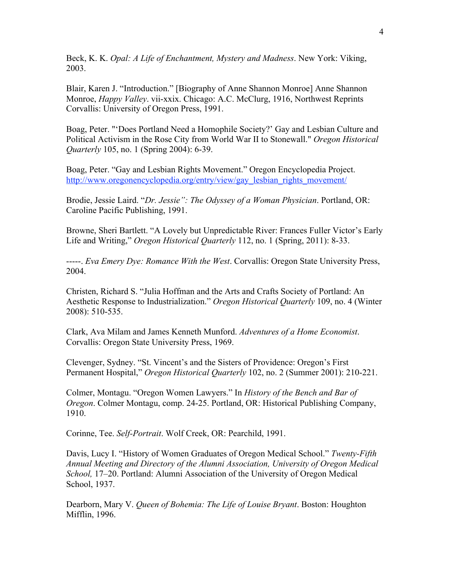Beck, K. K. *Opal: A Life of Enchantment, Mystery and Madness*. New York: Viking, 2003.

Blair, Karen J. "Introduction." [Biography of Anne Shannon Monroe] Anne Shannon Monroe, *Happy Valley*. vii-xxix. Chicago: A.C. McClurg, 1916, Northwest Reprints Corvallis: University of Oregon Press, 1991.

Boag, Peter. "'Does Portland Need a Homophile Society?' Gay and Lesbian Culture and Political Activism in the Rose City from World War II to Stonewall." *Oregon Historical Quarterly* 105, no. 1 (Spring 2004): 6-39.

Boag, Peter. "Gay and Lesbian Rights Movement." Oregon Encyclopedia Project. http://www.oregonencyclopedia.org/entry/view/gay\_lesbian\_rights\_movement/

Brodie, Jessie Laird. "*Dr. Jessie": The Odyssey of a Woman Physician*. Portland, OR: Caroline Pacific Publishing, 1991.

Browne, Sheri Bartlett. "A Lovely but Unpredictable River: Frances Fuller Victor's Early Life and Writing," *Oregon Historical Quarterly* 112, no. 1 (Spring, 2011): 8-33.

-----. *Eva Emery Dye: Romance With the West*. Corvallis: Oregon State University Press, 2004.

Christen, Richard S. "Julia Hoffman and the Arts and Crafts Society of Portland: An Aesthetic Response to Industrialization." *Oregon Historical Quarterly* 109, no. 4 (Winter 2008): 510-535.

Clark, Ava Milam and James Kenneth Munford. *Adventures of a Home Economist*. Corvallis: Oregon State University Press, 1969.

Clevenger, Sydney. "St. Vincent's and the Sisters of Providence: Oregon's First Permanent Hospital," *Oregon Historical Quarterly* 102, no. 2 (Summer 2001): 210-221.

Colmer, Montagu. "Oregon Women Lawyers." In *History of the Bench and Bar of Oregon*. Colmer Montagu, comp. 24-25. Portland, OR: Historical Publishing Company, 1910.

Corinne, Tee. *Self-Portrait*. Wolf Creek, OR: Pearchild, 1991.

Davis, Lucy I. "History of Women Graduates of Oregon Medical School." *Twenty-Fifth Annual Meeting and Directory of the Alumni Association, University of Oregon Medical School,* 17–20. Portland: Alumni Association of the University of Oregon Medical School, 1937.

Dearborn, Mary V. *Queen of Bohemia: The Life of Louise Bryant*. Boston: Houghton Mifflin, 1996.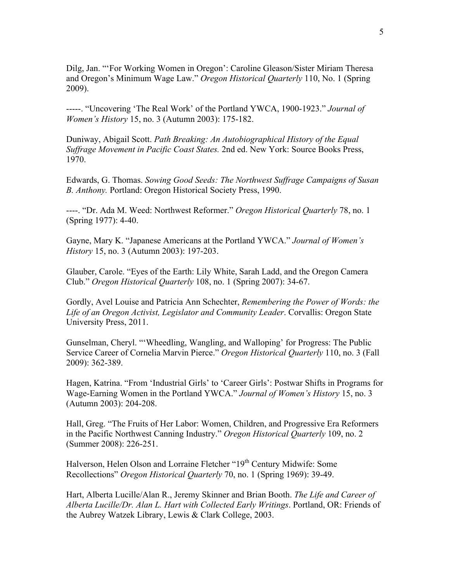Dilg, Jan. "'For Working Women in Oregon': Caroline Gleason/Sister Miriam Theresa and Oregon's Minimum Wage Law." *Oregon Historical Quarterly* 110, No. 1 (Spring 2009).

-----. "Uncovering 'The Real Work' of the Portland YWCA, 1900-1923." *Journal of Women's History* 15, no. 3 (Autumn 2003): 175-182.

Duniway, Abigail Scott. *Path Breaking: An Autobiographical History of the Equal Suffrage Movement in Pacific Coast States.* 2nd ed. New York: Source Books Press, 1970.

Edwards, G. Thomas. *Sowing Good Seeds: The Northwest Suffrage Campaigns of Susan B. Anthony.* Portland: Oregon Historical Society Press, 1990.

----. "Dr. Ada M. Weed: Northwest Reformer." *Oregon Historical Quarterly* 78, no. 1 (Spring 1977): 4-40.

Gayne, Mary K. "Japanese Americans at the Portland YWCA." *Journal of Women's History* 15, no. 3 (Autumn 2003): 197-203.

Glauber, Carole. "Eyes of the Earth: Lily White, Sarah Ladd, and the Oregon Camera Club." *Oregon Historical Quarterly* 108, no. 1 (Spring 2007): 34-67.

Gordly, Avel Louise and Patricia Ann Schechter, *Remembering the Power of Words: the Life of an Oregon Activist, Legislator and Community Leader*. Corvallis: Oregon State University Press, 2011.

Gunselman, Cheryl. "'Wheedling, Wangling, and Walloping' for Progress: The Public Service Career of Cornelia Marvin Pierce." *Oregon Historical Quarterly* 110, no. 3 (Fall 2009): 362-389.

Hagen, Katrina. "From 'Industrial Girls' to 'Career Girls': Postwar Shifts in Programs for Wage-Earning Women in the Portland YWCA." *Journal of Women's History* 15, no. 3 (Autumn 2003): 204-208.

Hall, Greg. "The Fruits of Her Labor: Women, Children, and Progressive Era Reformers in the Pacific Northwest Canning Industry." *Oregon Historical Quarterly* 109, no. 2 (Summer 2008): 226-251.

Halverson, Helen Olson and Lorraine Fletcher "19<sup>th</sup> Century Midwife: Some Recollections" *Oregon Historical Quarterly* 70, no. 1 (Spring 1969): 39-49.

Hart, Alberta Lucille/Alan R., Jeremy Skinner and Brian Booth. *The Life and Career of Alberta Lucille/Dr. Alan L. Hart with Collected Early Writings*. Portland, OR: Friends of the Aubrey Watzek Library, Lewis & Clark College, 2003.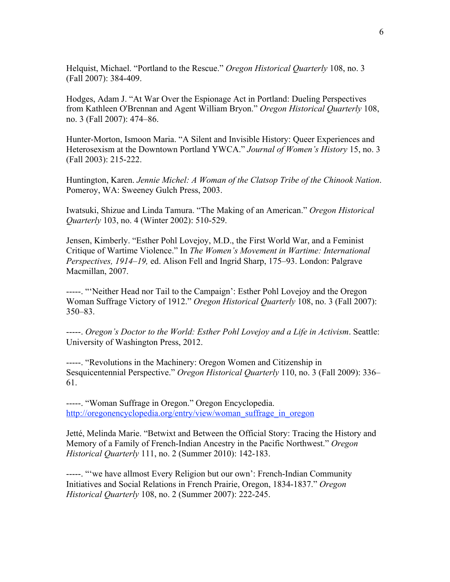Helquist, Michael. "Portland to the Rescue." *Oregon Historical Quarterly* 108, no. 3 (Fall 2007): 384-409.

Hodges, Adam J. "At War Over the Espionage Act in Portland: Dueling Perspectives from Kathleen O'Brennan and Agent William Bryon." *Oregon Historical Quarterly* 108, no. 3 (Fall 2007): 474–86.

Hunter-Morton, Ismoon Maria. "A Silent and Invisible History: Queer Experiences and Heterosexism at the Downtown Portland YWCA." *Journal of Women's History* 15, no. 3 (Fall 2003): 215-222.

Huntington, Karen. *Jennie Michel: A Woman of the Clatsop Tribe of the Chinook Nation*. Pomeroy, WA: Sweeney Gulch Press, 2003.

Iwatsuki, Shizue and Linda Tamura. "The Making of an American." *Oregon Historical Quarterly* 103, no. 4 (Winter 2002): 510-529.

Jensen, Kimberly. "Esther Pohl Lovejoy, M.D., the First World War, and a Feminist Critique of Wartime Violence." In *The Women's Movement in Wartime: International Perspectives, 1914–19,* ed. Alison Fell and Ingrid Sharp, 175–93. London: Palgrave Macmillan, 2007.

-----. "'Neither Head nor Tail to the Campaign': Esther Pohl Lovejoy and the Oregon Woman Suffrage Victory of 1912." *Oregon Historical Quarterly* 108, no. 3 (Fall 2007): 350–83.

-----. *Oregon's Doctor to the World: Esther Pohl Lovejoy and a Life in Activism*. Seattle: University of Washington Press, 2012.

-----. "Revolutions in the Machinery: Oregon Women and Citizenship in Sesquicentennial Perspective." *Oregon Historical Quarterly* 110, no. 3 (Fall 2009): 336– 61.

-----. "Woman Suffrage in Oregon." Oregon Encyclopedia. http://oregonencyclopedia.org/entry/view/woman\_suffrage\_in\_oregon

Jetté, Melinda Marie. "Betwixt and Between the Official Story: Tracing the History and Memory of a Family of French-Indian Ancestry in the Pacific Northwest." *Oregon Historical Quarterly* 111, no. 2 (Summer 2010): 142-183.

-----. "'we have allmost Every Religion but our own': French-Indian Community Initiatives and Social Relations in French Prairie, Oregon, 1834-1837." *Oregon Historical Quarterly* 108, no. 2 (Summer 2007): 222-245.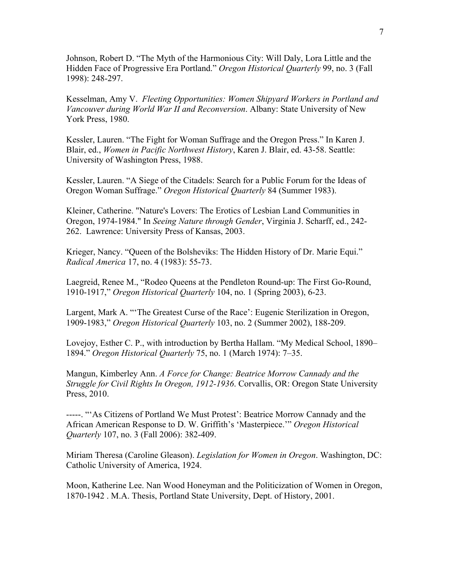Johnson, Robert D. "The Myth of the Harmonious City: Will Daly, Lora Little and the Hidden Face of Progressive Era Portland." *Oregon Historical Quarterly* 99, no. 3 (Fall 1998): 248-297.

Kesselman, Amy V. *Fleeting Opportunities: Women Shipyard Workers in Portland and Vancouver during World War II and Reconversion*. Albany: State University of New York Press, 1980.

Kessler, Lauren. "The Fight for Woman Suffrage and the Oregon Press." In Karen J. Blair, ed., *Women in Pacific Northwest History*, Karen J. Blair, ed. 43-58. Seattle: University of Washington Press, 1988.

Kessler, Lauren. "A Siege of the Citadels: Search for a Public Forum for the Ideas of Oregon Woman Suffrage." *Oregon Historical Quarterly* 84 (Summer 1983).

Kleiner, Catherine. "Nature's Lovers: The Erotics of Lesbian Land Communities in Oregon, 1974-1984." In *Seeing Nature through Gender*, Virginia J. Scharff, ed., 242- 262. Lawrence: University Press of Kansas, 2003.

Krieger, Nancy. "Queen of the Bolsheviks: The Hidden History of Dr. Marie Equi." *Radical America* 17, no. 4 (1983): 55-73.

Laegreid, Renee M., "Rodeo Queens at the Pendleton Round-up: The First Go-Round, 1910-1917," *Oregon Historical Quarterly* 104, no. 1 (Spring 2003), 6-23.

Largent, Mark A. "'The Greatest Curse of the Race': Eugenic Sterilization in Oregon, 1909-1983," *Oregon Historical Quarterly* 103, no. 2 (Summer 2002), 188-209.

Lovejoy, Esther C. P., with introduction by Bertha Hallam. "My Medical School, 1890– 1894." *Oregon Historical Quarterly* 75, no. 1 (March 1974): 7–35.

Mangun, Kimberley Ann. *A Force for Change: Beatrice Morrow Cannady and the Struggle for Civil Rights In Oregon, 1912-1936*. Corvallis, OR: Oregon State University Press, 2010.

-----. "'As Citizens of Portland We Must Protest': Beatrice Morrow Cannady and the African American Response to D. W. Griffith's 'Masterpiece.'" *Oregon Historical Quarterly* 107, no. 3 (Fall 2006): 382-409.

Miriam Theresa (Caroline Gleason). *Legislation for Women in Oregon*. Washington, DC: Catholic University of America, 1924.

Moon, Katherine Lee. Nan Wood Honeyman and the Politicization of Women in Oregon, 1870-1942 . M.A. Thesis, Portland State University, Dept. of History, 2001.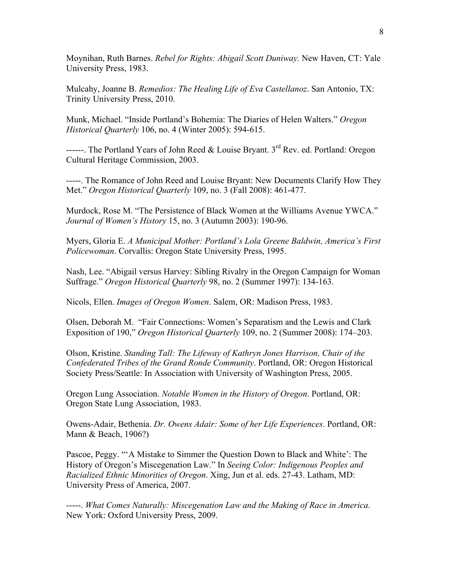Moynihan, Ruth Barnes. *Rebel for Rights: Abigail Scott Duniway.* New Haven, CT: Yale University Press, 1983.

Mulcahy, Joanne B. *Remedios: The Healing Life of Eva Castellanoz*. San Antonio, TX: Trinity University Press, 2010.

Munk, Michael. "Inside Portland's Bohemia: The Diaries of Helen Walters." *Oregon Historical Quarterly* 106, no. 4 (Winter 2005): 594-615.

------. The Portland Years of John Reed & Louise Bryant.  $3^{rd}$  Rev. ed. Portland: Oregon Cultural Heritage Commission, 2003.

-----. The Romance of John Reed and Louise Bryant: New Documents Clarify How They Met." *Oregon Historical Quarterly* 109, no. 3 (Fall 2008): 461-477.

Murdock, Rose M. "The Persistence of Black Women at the Williams Avenue YWCA." *Journal of Women's History* 15, no. 3 (Autumn 2003): 190-96.

Myers, Gloria E. *A Municipal Mother: Portland's Lola Greene Baldwin, America's First Policewoman*. Corvallis: Oregon State University Press, 1995.

Nash, Lee. "Abigail versus Harvey: Sibling Rivalry in the Oregon Campaign for Woman Suffrage." *Oregon Historical Quarterly* 98, no. 2 (Summer 1997): 134-163.

Nicols, Ellen. *Images of Oregon Women*. Salem, OR: Madison Press, 1983.

Olsen, Deborah M. "Fair Connections: Women's Separatism and the Lewis and Clark Exposition of 190," *Oregon Historical Quarterly* 109, no. 2 (Summer 2008): 174–203.

Olson, Kristine. *Standing Tall: The Lifeway of Kathryn Jones Harrison, Chair of the Confederated Tribes of the Grand Ronde Community*. Portland, OR: Oregon Historical Society Press/Seattle: In Association with University of Washington Press, 2005.

Oregon Lung Association. *Notable Women in the History of Oregon*. Portland, OR: Oregon State Lung Association, 1983.

Owens-Adair, Bethenia. *Dr. Owens Adair: Some of her Life Experiences*. Portland, OR: Mann & Beach, 1906?)

Pascoe, Peggy. "'A Mistake to Simmer the Question Down to Black and White': The History of Oregon's Miscegenation Law." In *Seeing Color: Indigenous Peoples and Racialized Ethnic Minorities of Oregon*. Xing, Jun et al. eds. 27-43. Latham, MD: University Press of America, 2007.

-----. *What Comes Naturally: Miscegenation Law and the Making of Race in America*. New York: Oxford University Press, 2009.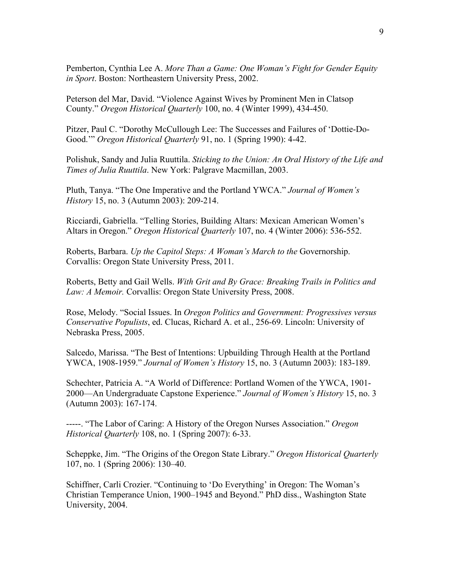Pemberton, Cynthia Lee A. *More Than a Game: One Woman's Fight for Gender Equity in Sport*. Boston: Northeastern University Press, 2002.

Peterson del Mar, David. "Violence Against Wives by Prominent Men in Clatsop County." *Oregon Historical Quarterly* 100, no. 4 (Winter 1999), 434-450.

Pitzer, Paul C. "Dorothy McCullough Lee: The Successes and Failures of 'Dottie-Do-Good.'" *Oregon Historical Quarterly* 91, no. 1 (Spring 1990): 4-42.

Polishuk, Sandy and Julia Ruuttila. *Sticking to the Union: An Oral History of the Life and Times of Julia Ruuttila*. New York: Palgrave Macmillan, 2003.

Pluth, Tanya. "The One Imperative and the Portland YWCA." *Journal of Women's History* 15, no. 3 (Autumn 2003): 209-214.

Ricciardi, Gabriella. "Telling Stories, Building Altars: Mexican American Women's Altars in Oregon." *Oregon Historical Quarterly* 107, no. 4 (Winter 2006): 536-552.

Roberts, Barbara. *Up the Capitol Steps: A Woman's March to the* Governorship. Corvallis: Oregon State University Press, 2011.

Roberts, Betty and Gail Wells. *With Grit and By Grace: Breaking Trails in Politics and*  Law: A Memoir. Corvallis: Oregon State University Press, 2008.

Rose, Melody. "Social Issues. In *Oregon Politics and Government: Progressives versus Conservative Populists*, ed. Clucas, Richard A. et al., 256-69. Lincoln: University of Nebraska Press, 2005.

Salcedo, Marissa. "The Best of Intentions: Upbuilding Through Health at the Portland YWCA, 1908-1959." *Journal of Women's History* 15, no. 3 (Autumn 2003): 183-189.

Schechter, Patricia A. "A World of Difference: Portland Women of the YWCA, 1901- 2000—An Undergraduate Capstone Experience." *Journal of Women's History* 15, no. 3 (Autumn 2003): 167-174.

-----. "The Labor of Caring: A History of the Oregon Nurses Association." *Oregon Historical Quarterly* 108, no. 1 (Spring 2007): 6-33.

Scheppke, Jim. "The Origins of the Oregon State Library." *Oregon Historical Quarterly* 107, no. 1 (Spring 2006): 130–40.

Schiffner, Carli Crozier. "Continuing to 'Do Everything' in Oregon: The Woman's Christian Temperance Union, 1900–1945 and Beyond." PhD diss., Washington State University, 2004.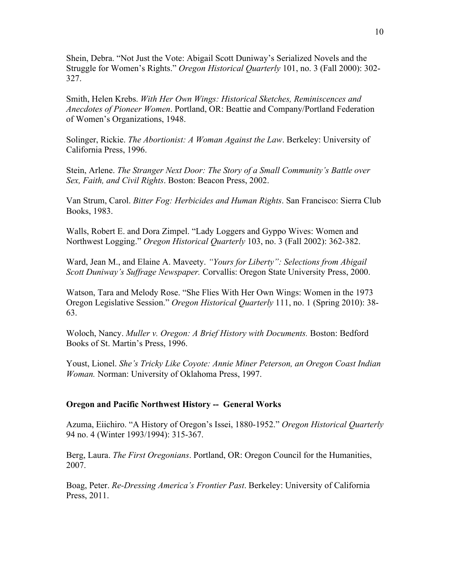Shein, Debra. "Not Just the Vote: Abigail Scott Duniway's Serialized Novels and the Struggle for Women's Rights." *Oregon Historical Quarterly* 101, no. 3 (Fall 2000): 302- 327.

Smith, Helen Krebs. *With Her Own Wings: Historical Sketches, Reminiscences and Anecdotes of Pioneer Women*. Portland, OR: Beattie and Company/Portland Federation of Women's Organizations, 1948.

Solinger, Rickie. *The Abortionist: A Woman Against the Law*. Berkeley: University of California Press, 1996.

Stein, Arlene. *The Stranger Next Door: The Story of a Small Community's Battle over Sex, Faith, and Civil Rights*. Boston: Beacon Press, 2002.

Van Strum, Carol. *Bitter Fog: Herbicides and Human Rights*. San Francisco: Sierra Club Books, 1983.

Walls, Robert E. and Dora Zimpel. "Lady Loggers and Gyppo Wives: Women and Northwest Logging." *Oregon Historical Quarterly* 103, no. 3 (Fall 2002): 362-382.

Ward, Jean M., and Elaine A. Maveety. *"Yours for Liberty": Selections from Abigail Scott Duniway's Suffrage Newspaper.* Corvallis: Oregon State University Press, 2000.

Watson, Tara and Melody Rose. "She Flies With Her Own Wings: Women in the 1973 Oregon Legislative Session." *Oregon Historical Quarterly* 111, no. 1 (Spring 2010): 38- 63.

Woloch, Nancy. *Muller v. Oregon: A Brief History with Documents.* Boston: Bedford Books of St. Martin's Press, 1996.

Youst, Lionel. *She's Tricky Like Coyote: Annie Miner Peterson, an Oregon Coast Indian Woman.* Norman: University of Oklahoma Press, 1997.

### **Oregon and Pacific Northwest History -- General Works**

Azuma, Eiichiro. "A History of Oregon's Issei, 1880-1952." *Oregon Historical Quarterly* 94 no. 4 (Winter 1993/1994): 315-367.

Berg, Laura. *The First Oregonians*. Portland, OR: Oregon Council for the Humanities, 2007.

Boag, Peter. *Re-Dressing America's Frontier Past*. Berkeley: University of California Press, 2011.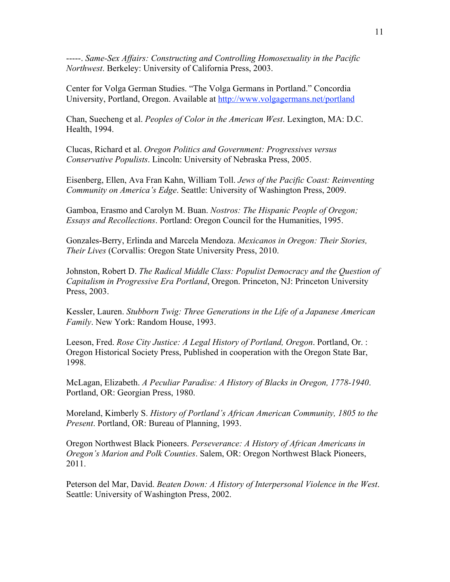-----. *Same-Sex Affairs: Constructing and Controlling Homosexuality in the Pacific Northwest*. Berkeley: University of California Press, 2003.

Center for Volga German Studies. "The Volga Germans in Portland." Concordia University, Portland, Oregon. Available at http://www.volgagermans.net/portland

Chan, Suecheng et al. *Peoples of Color in the American West*. Lexington, MA: D.C. Health, 1994.

Clucas, Richard et al. *Oregon Politics and Government: Progressives versus Conservative Populists*. Lincoln: University of Nebraska Press, 2005.

Eisenberg, Ellen, Ava Fran Kahn, William Toll. *Jews of the Pacific Coast: Reinventing Community on America's Edge*. Seattle: University of Washington Press, 2009.

Gamboa, Erasmo and Carolyn M. Buan. *Nostros: The Hispanic People of Oregon; Essays and Recollections*. Portland: Oregon Council for the Humanities, 1995.

Gonzales-Berry, Erlinda and Marcela Mendoza. *Mexicanos in Oregon: Their Stories, Their Lives* (Corvallis: Oregon State University Press, 2010.

Johnston, Robert D. *The Radical Middle Class: Populist Democracy and the Question of Capitalism in Progressive Era Portland*, Oregon. Princeton, NJ: Princeton University Press, 2003.

Kessler, Lauren. *Stubborn Twig: Three Generations in the Life of a Japanese American Family*. New York: Random House, 1993.

Leeson, Fred. *Rose City Justice: A Legal History of Portland, Oregon*. Portland, Or. : Oregon Historical Society Press, Published in cooperation with the Oregon State Bar, 1998.

McLagan, Elizabeth. *A Peculiar Paradise: A History of Blacks in Oregon, 1778-1940*. Portland, OR: Georgian Press, 1980.

Moreland, Kimberly S. *History of Portland's African American Community, 1805 to the Present*. Portland, OR: Bureau of Planning, 1993.

Oregon Northwest Black Pioneers. *Perseverance: A History of African Americans in Oregon's Marion and Polk Counties*. Salem, OR: Oregon Northwest Black Pioneers, 2011.

Peterson del Mar, David. *Beaten Down: A History of Interpersonal Violence in the West*. Seattle: University of Washington Press, 2002.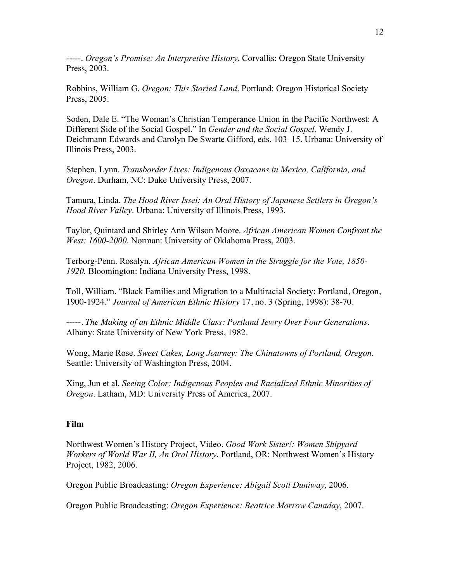-----. *Oregon's Promise: An Interpretive History*. Corvallis: Oregon State University Press, 2003.

Robbins, William G. *Oregon: This Storied Land*. Portland: Oregon Historical Society Press, 2005.

Soden, Dale E. "The Woman's Christian Temperance Union in the Pacific Northwest: A Different Side of the Social Gospel." In *Gender and the Social Gospel,* Wendy J. Deichmann Edwards and Carolyn De Swarte Gifford, eds. 103–15. Urbana: University of Illinois Press, 2003.

Stephen, Lynn. *Transborder Lives: Indigenous Oaxacans in Mexico, California, and Oregon*. Durham, NC: Duke University Press, 2007.

Tamura, Linda. *The Hood River Issei: An Oral History of Japanese Settlers in Oregon's Hood River Valley*. Urbana: University of Illinois Press, 1993.

Taylor, Quintard and Shirley Ann Wilson Moore. *African American Women Confront the West: 1600-2000*. Norman: University of Oklahoma Press, 2003.

Terborg-Penn. Rosalyn. *African American Women in the Struggle for the Vote, 1850- 1920.* Bloomington: Indiana University Press, 1998.

Toll, William. "Black Families and Migration to a Multiracial Society: Portland, Oregon, 1900-1924." *Journal of American Ethnic History* 17, no. 3 (Spring, 1998): 38-70.

-----. *The Making of an Ethnic Middle Class: Portland Jewry Over Four Generations.* Albany: State University of New York Press, 1982.

Wong, Marie Rose. *Sweet Cakes, Long Journey: The Chinatowns of Portland, Oregon*. Seattle: University of Washington Press, 2004.

Xing, Jun et al. *Seeing Color: Indigenous Peoples and Racialized Ethnic Minorities of Oregon*. Latham, MD: University Press of America, 2007.

## **Film**

Northwest Women's History Project, Video. *Good Work Sister!: Women Shipyard Workers of World War II, An Oral History*. Portland, OR: Northwest Women's History Project, 1982, 2006.

Oregon Public Broadcasting: *Oregon Experience: Abigail Scott Duniway*, 2006.

Oregon Public Broadcasting: *Oregon Experience: Beatrice Morrow Canaday*, 2007.